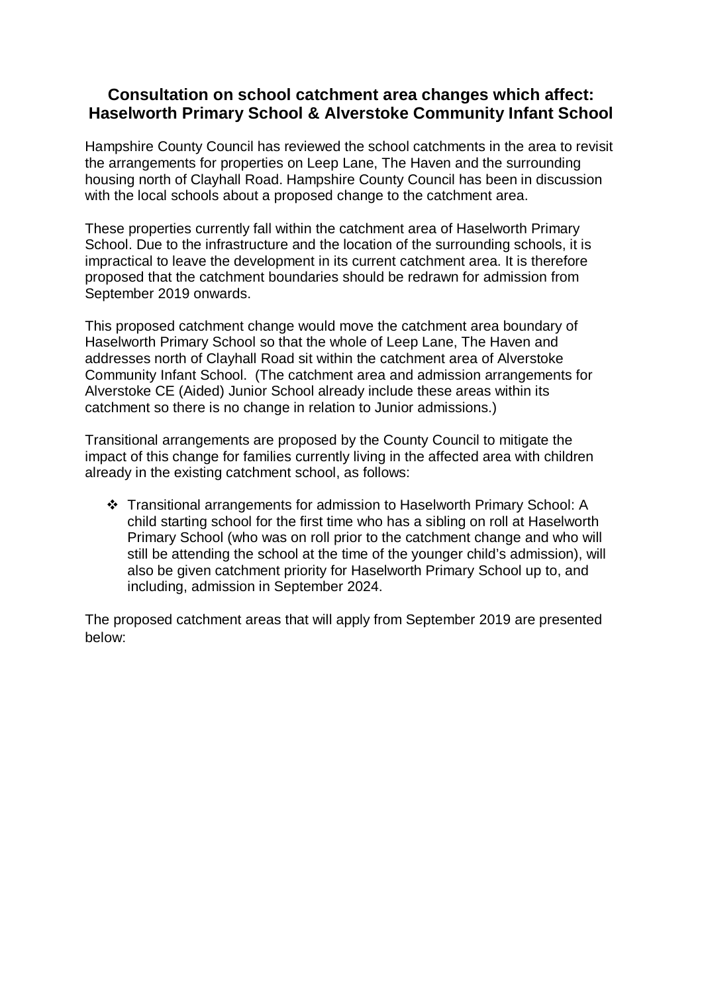## **Consultation on school catchment area changes which affect: Haselworth Primary School & Alverstoke Community Infant School**

Hampshire County Council has reviewed the school catchments in the area to revisit the arrangements for properties on Leep Lane, The Haven and the surrounding housing north of Clayhall Road. Hampshire County Council has been in discussion with the local schools about a proposed change to the catchment area.

These properties currently fall within the catchment area of Haselworth Primary School. Due to the infrastructure and the location of the surrounding schools, it is impractical to leave the development in its current catchment area. It is therefore proposed that the catchment boundaries should be redrawn for admission from September 2019 onwards.

This proposed catchment change would move the catchment area boundary of Haselworth Primary School so that the whole of Leep Lane, The Haven and addresses north of Clayhall Road sit within the catchment area of Alverstoke Community Infant School. (The catchment area and admission arrangements for Alverstoke CE (Aided) Junior School already include these areas within its catchment so there is no change in relation to Junior admissions.)

Transitional arrangements are proposed by the County Council to mitigate the impact of this change for families currently living in the affected area with children already in the existing catchment school, as follows:

 Transitional arrangements for admission to Haselworth Primary School: A child starting school for the first time who has a sibling on roll at Haselworth Primary School (who was on roll prior to the catchment change and who will still be attending the school at the time of the younger child's admission), will also be given catchment priority for Haselworth Primary School up to, and including, admission in September 2024.

The proposed catchment areas that will apply from September 2019 are presented below: